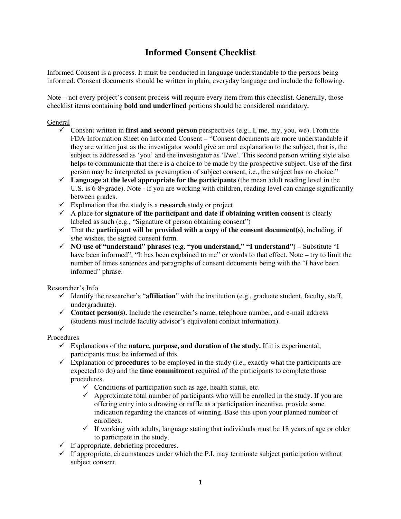## **Informed Consent Checklist**

Informed Consent is a process. It must be conducted in language understandable to the persons being informed. Consent documents should be written in plain, everyday language and include the following.

Note – not every project's consent process will require every item from this checklist. Generally, those checklist items containing **bold and underlined** portions should be considered mandatory**.** 

#### General

- Consent written in **first and second person** perspectives (e.g., I, me, my, you, we). From the FDA Information Sheet on Informed Consent – "Consent documents are more understandable if they are written just as the investigator would give an oral explanation to the subject, that is, the subject is addressed as 'you' and the investigator as 'I/we'. This second person writing style also helps to communicate that there is a choice to be made by the prospective subject. Use of the first person may be interpreted as presumption of subject consent, i.e., the subject has no choice."
- $\checkmark$  Language at the level appropriate for the participants (the mean adult reading level in the U.S. is 6-8<sup>th</sup> grade). Note - if you are working with children, reading level can change significantly between grades.
- Explanation that the study is a **research** study or project
- $\checkmark$  A place for **signature of the participant and date if obtaining written consent** is clearly labeled as such (e.g., "Signature of person obtaining consent")
- $\checkmark$  That the **participant will be provided with a copy of the consent document**(s), including, if s/he wishes, the signed consent form.
- **NO use of "understand" phrases (e.g. "you understand," "I understand")**  Substitute "I have been informed", "It has been explained to me" or words to that effect. Note – try to limit the number of times sentences and paragraphs of consent documents being with the "I have been informed" phrase.

Researcher's Info

- $\checkmark$  Identify the researcher's "**affiliation**" with the institution (e.g., graduate student, faculty, staff, undergraduate).
- $\checkmark$  Contact person(s). Include the researcher's name, telephone number, and e-mail address (students must include faculty advisor's equivalent contact information).

#### $\checkmark$ Procedures

- $\checkmark$  Explanations of the **nature, purpose, and duration of the study.** If it is experimental, participants must be informed of this.
- $\checkmark$  Explanation of **procedures** to be employed in the study (i.e., exactly what the participants are expected to do) and the **time commitment** required of the participants to complete those procedures.
	- $\checkmark$  Conditions of participation such as age, health status, etc.
	- $\checkmark$  Approximate total number of participants who will be enrolled in the study. If you are offering entry into a drawing or raffle as a participation incentive, provide some indication regarding the chances of winning. Base this upon your planned number of enrollees.
	- $\checkmark$  If working with adults, language stating that individuals must be 18 years of age or older to participate in the study.
- $\checkmark$  If appropriate, debriefing procedures.
- $\checkmark$  If appropriate, circumstances under which the P.I. may terminate subject participation without subject consent.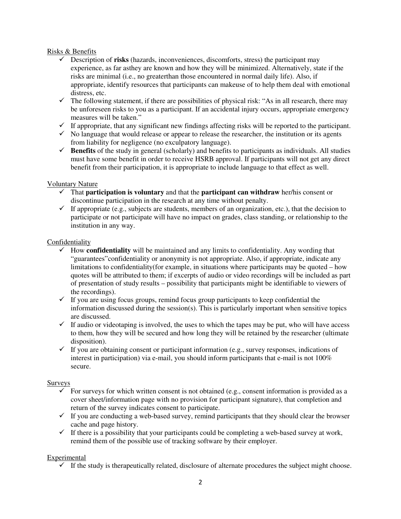#### Risks & Benefits

- $\checkmark$  Description of **risks** (hazards, inconveniences, discomforts, stress) the participant may experience, as far asthey are known and how they will be minimized. Alternatively, state if the risks are minimal (i.e., no greaterthan those encountered in normal daily life). Also, if appropriate, identify resources that participants can makeuse of to help them deal with emotional distress, etc.
- $\checkmark$  The following statement, if there are possibilities of physical risk: "As in all research, there may be unforeseen risks to you as a participant. If an accidental injury occurs, appropriate emergency measures will be taken."
- $\checkmark$  If appropriate, that any significant new findings affecting risks will be reported to the participant.
- $\checkmark$  No language that would release or appear to release the researcher, the institution or its agents from liability for negligence (no exculpatory language).
- $\checkmark$  **Benefits** of the study in general (scholarly) and benefits to participants as individuals. All studies must have some benefit in order to receive HSRB approval. If participants will not get any direct benefit from their participation, it is appropriate to include language to that effect as well.

#### Voluntary Nature

- That **participation is voluntary** and that the **participant can withdraw** her/his consent or discontinue participation in the research at any time without penalty.
- If appropriate (e.g., subjects are students, members of an organization, etc.), that the decision to participate or not participate will have no impact on grades, class standing, or relationship to the institution in any way.

#### Confidentiality

- $\checkmark$  How **confidentiality** will be maintained and any limits to confidentiality. Any wording that "guarantees"confidentiality or anonymity is not appropriate. Also, if appropriate, indicate any limitations to confidentiality(for example, in situations where participants may be quoted – how quotes will be attributed to them; if excerpts of audio or video recordings will be included as part of presentation of study results – possibility that participants might be identifiable to viewers of the recordings).
- $\checkmark$  If you are using focus groups, remind focus group participants to keep confidential the information discussed during the session(s). This is particularly important when sensitive topics are discussed.
- $\checkmark$  If audio or videotaping is involved, the uses to which the tapes may be put, who will have access to them, how they will be secured and how long they will be retained by the researcher (ultimate disposition).
- $\checkmark$  If you are obtaining consent or participant information (e.g., survey responses, indications of interest in participation) via e-mail, you should inform participants that e-mail is not  $100\%$ secure.

#### **Surveys**

- $\checkmark$  For surveys for which written consent is not obtained (e.g., consent information is provided as a cover sheet/information page with no provision for participant signature), that completion and return of the survey indicates consent to participate.
- $\checkmark$  If you are conducting a web-based survey, remind participants that they should clear the browser cache and page history.
- $\checkmark$  If there is a possibility that your participants could be completing a web-based survey at work, remind them of the possible use of tracking software by their employer.

### **Experimental**

 $\checkmark$  If the study is therapeutically related, disclosure of alternate procedures the subject might choose.